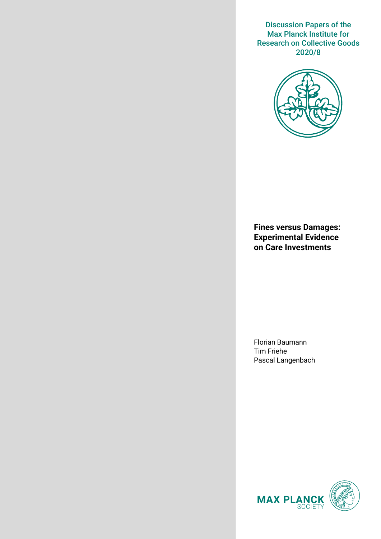Discussion Papers of the Max Planck Institute for Research on Collective Goods 2020/8



**Fines versus Damages: Experimental Evidence on Care Investments**

Florian Baumann Tim Friehe Pascal Langenbach

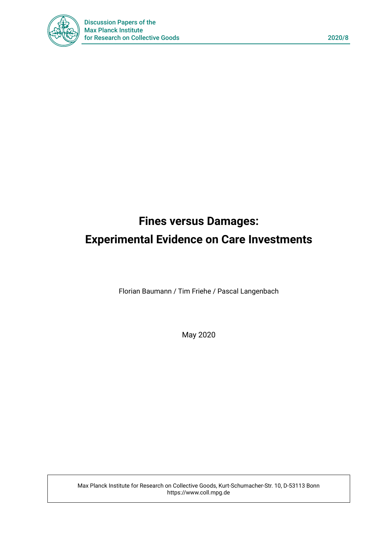

# **Fines versus Damages: Experimental Evidence on Care Investments**

Florian Baumann / Tim Friehe / Pascal Langenbach

May 2020

Max Planck Institute for Research on Collective Goods, Kurt-Schumacher-Str. 10, D-53113 Bonn https://www.coll.mpg.de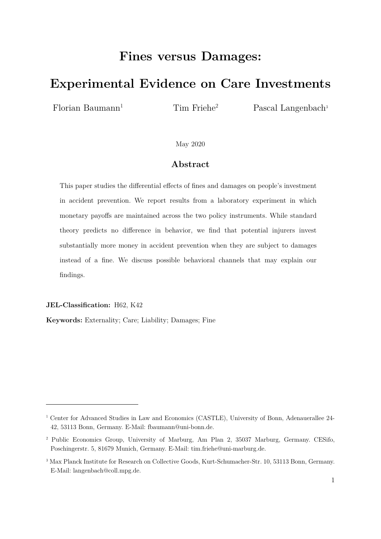# **Fines versus Damages:**

# **Experimental Evidence on Care Investments**

 $Florian$  Baumann<sup>1</sup>

Tim Friehe2

Pascal Langenbach<sup>3</sup>

May 2020

# **Abstract**

This paper studies the differential effects of fines and damages on people's investment in accident prevention. We report results from a laboratory experiment in which monetary payoffs are maintained across the two policy instruments. While standard theory predicts no difference in behavior, we find that potential injurers invest substantially more money in accident prevention when they are subject to damages instead of a fine. We discuss possible behavioral channels that may explain our findings.

**JEL-Classification:** H62, K42

-

**Keywords:** Externality; Care; Liability; Damages; Fine

<sup>1</sup> Center for Advanced Studies in Law and Economics (CASTLE), University of Bonn, Adenauerallee 24- 42, 53113 Bonn, Germany. E-Mail: fbaumann@uni-bonn.de.

<sup>2</sup> Public Economics Group, University of Marburg, Am Plan 2, 35037 Marburg, Germany. CESifo, Poschingerstr. 5, 81679 Munich, Germany. E-Mail: tim.friehe@uni-marburg.de.

<sup>3</sup> Max Planck Institute for Research on Collective Goods, Kurt-Schumacher-Str. 10, 53113 Bonn, Germany. E-Mail: langenbach@coll.mpg.de.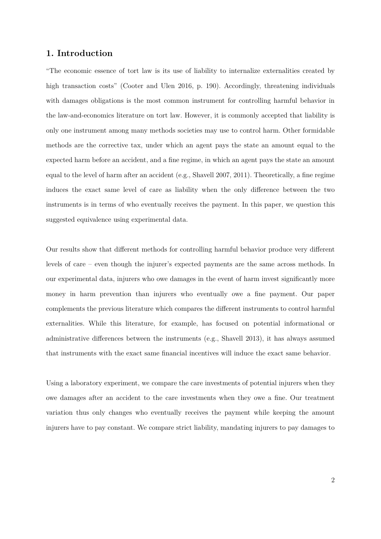## **1. Introduction**

"The economic essence of tort law is its use of liability to internalize externalities created by high transaction costs" (Cooter and Ulen 2016, p. 190). Accordingly, threatening individuals with damages obligations is the most common instrument for controlling harmful behavior in the law-and-economics literature on tort law. However, it is commonly accepted that liability is only one instrument among many methods societies may use to control harm. Other formidable methods are the corrective tax, under which an agent pays the state an amount equal to the expected harm before an accident, and a fine regime, in which an agent pays the state an amount equal to the level of harm after an accident (e.g., Shavell 2007, 2011). Theoretically, a fine regime induces the exact same level of care as liability when the only difference between the two instruments is in terms of who eventually receives the payment. In this paper, we question this suggested equivalence using experimental data.

Our results show that different methods for controlling harmful behavior produce very different levels of care – even though the injurer's expected payments are the same across methods. In our experimental data, injurers who owe damages in the event of harm invest significantly more money in harm prevention than injurers who eventually owe a fine payment. Our paper complements the previous literature which compares the different instruments to control harmful externalities. While this literature, for example, has focused on potential informational or administrative differences between the instruments (e.g., Shavell 2013), it has always assumed that instruments with the exact same financial incentives will induce the exact same behavior.

Using a laboratory experiment, we compare the care investments of potential injurers when they owe damages after an accident to the care investments when they owe a fine. Our treatment variation thus only changes who eventually receives the payment while keeping the amount injurers have to pay constant. We compare strict liability, mandating injurers to pay damages to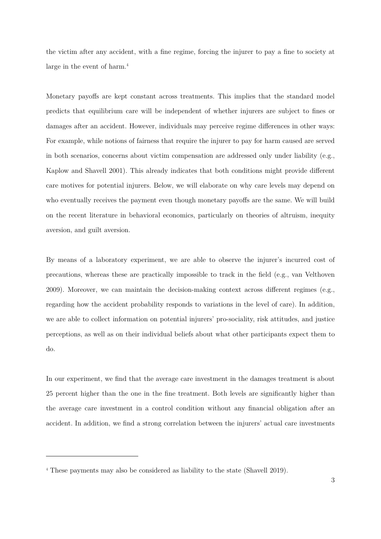the victim after any accident, with a fine regime, forcing the injurer to pay a fine to society at large in the event of harm.<sup>4</sup>

Monetary payoffs are kept constant across treatments. This implies that the standard model predicts that equilibrium care will be independent of whether injurers are subject to fines or damages after an accident. However, individuals may perceive regime differences in other ways: For example, while notions of fairness that require the injurer to pay for harm caused are served in both scenarios, concerns about victim compensation are addressed only under liability (e.g., Kaplow and Shavell 2001). This already indicates that both conditions might provide different care motives for potential injurers. Below, we will elaborate on why care levels may depend on who eventually receives the payment even though monetary payoffs are the same. We will build on the recent literature in behavioral economics, particularly on theories of altruism, inequity aversion, and guilt aversion.

By means of a laboratory experiment, we are able to observe the injurer's incurred cost of precautions, whereas these are practically impossible to track in the field (e.g., van Velthoven 2009). Moreover, we can maintain the decision-making context across different regimes (e.g., regarding how the accident probability responds to variations in the level of care). In addition, we are able to collect information on potential injurers' pro-sociality, risk attitudes, and justice perceptions, as well as on their individual beliefs about what other participants expect them to do.

In our experiment, we find that the average care investment in the damages treatment is about 25 percent higher than the one in the fine treatment. Both levels are significantly higher than the average care investment in a control condition without any financial obligation after an accident. In addition, we find a strong correlation between the injurers' actual care investments

<sup>4</sup> These payments may also be considered as liability to the state (Shavell 2019).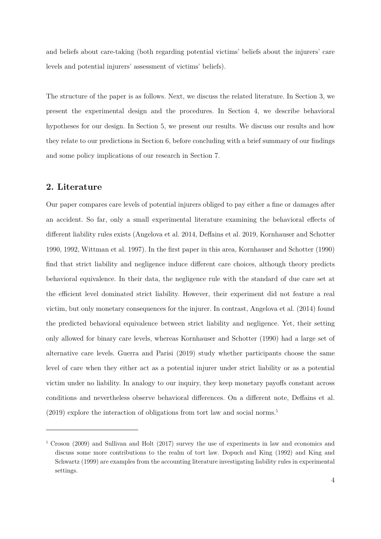and beliefs about care-taking (both regarding potential victims' beliefs about the injurers' care levels and potential injurers' assessment of victims' beliefs).

The structure of the paper is as follows. Next, we discuss the related literature. In Section 3, we present the experimental design and the procedures. In Section 4, we describe behavioral hypotheses for our design. In Section 5, we present our results. We discuss our results and how they relate to our predictions in Section 6, before concluding with a brief summary of our findings and some policy implications of our research in Section 7.

## **2. Literature**

-

Our paper compares care levels of potential injurers obliged to pay either a fine or damages after an accident. So far, only a small experimental literature examining the behavioral effects of different liability rules exists (Angelova et al. 2014, Deffains et al. 2019, Kornhauser and Schotter 1990, 1992, Wittman et al. 1997). In the first paper in this area, Kornhauser and Schotter (1990) find that strict liability and negligence induce different care choices, although theory predicts behavioral equivalence. In their data, the negligence rule with the standard of due care set at the efficient level dominated strict liability. However, their experiment did not feature a real victim, but only monetary consequences for the injurer. In contrast, Angelova et al. (2014) found the predicted behavioral equivalence between strict liability and negligence. Yet, their setting only allowed for binary care levels, whereas Kornhauser and Schotter (1990) had a large set of alternative care levels. Guerra and Parisi (2019) study whether participants choose the same level of care when they either act as a potential injurer under strict liability or as a potential victim under no liability. In analogy to our inquiry, they keep monetary payoffs constant across conditions and nevertheless observe behavioral differences. On a different note, Deffains et al.  $(2019)$  explore the interaction of obligations from tort law and social norms.<sup>5</sup>

<sup>&</sup>lt;sup>5</sup> Croson (2009) and Sullivan and Holt (2017) survey the use of experiments in law and economics and discuss some more contributions to the realm of tort law. Dopuch and King (1992) and King and Schwartz (1999) are examples from the accounting literature investigating liability rules in experimental settings.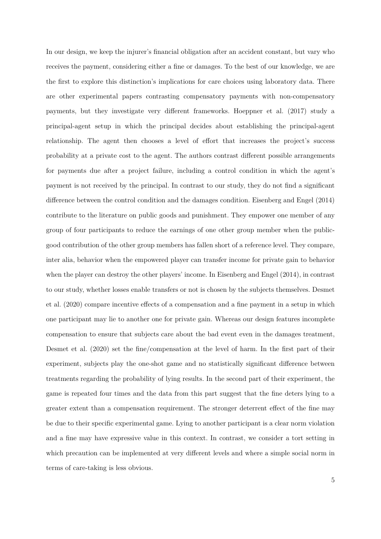In our design, we keep the injurer's financial obligation after an accident constant, but vary who receives the payment, considering either a fine or damages. To the best of our knowledge, we are the first to explore this distinction's implications for care choices using laboratory data. There are other experimental papers contrasting compensatory payments with non-compensatory payments, but they investigate very different frameworks. Hoeppner et al. (2017) study a principal-agent setup in which the principal decides about establishing the principal-agent relationship. The agent then chooses a level of effort that increases the project's success probability at a private cost to the agent. The authors contrast different possible arrangements for payments due after a project failure, including a control condition in which the agent's payment is not received by the principal. In contrast to our study, they do not find a significant difference between the control condition and the damages condition. Eisenberg and Engel (2014) contribute to the literature on public goods and punishment. They empower one member of any group of four participants to reduce the earnings of one other group member when the publicgood contribution of the other group members has fallen short of a reference level. They compare, inter alia, behavior when the empowered player can transfer income for private gain to behavior when the player can destroy the other players' income. In Eisenberg and Engel (2014), in contrast to our study, whether losses enable transfers or not is chosen by the subjects themselves. Desmet et al. (2020) compare incentive effects of a compensation and a fine payment in a setup in which one participant may lie to another one for private gain. Whereas our design features incomplete compensation to ensure that subjects care about the bad event even in the damages treatment, Desmet et al. (2020) set the fine/compensation at the level of harm. In the first part of their experiment, subjects play the one-shot game and no statistically significant difference between treatments regarding the probability of lying results. In the second part of their experiment, the game is repeated four times and the data from this part suggest that the fine deters lying to a greater extent than a compensation requirement. The stronger deterrent effect of the fine may be due to their specific experimental game. Lying to another participant is a clear norm violation and a fine may have expressive value in this context. In contrast, we consider a tort setting in which precaution can be implemented at very different levels and where a simple social norm in terms of care-taking is less obvious.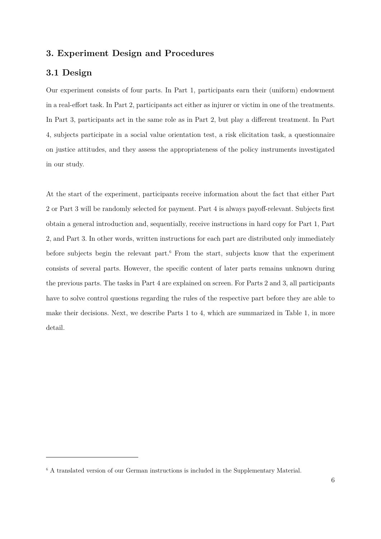# **3. Experiment Design and Procedures**

# **3.1 Design**

-

Our experiment consists of four parts. In Part 1, participants earn their (uniform) endowment in a real-effort task. In Part 2, participants act either as injurer or victim in one of the treatments. In Part 3, participants act in the same role as in Part 2, but play a different treatment. In Part 4, subjects participate in a social value orientation test, a risk elicitation task, a questionnaire on justice attitudes, and they assess the appropriateness of the policy instruments investigated in our study.

At the start of the experiment, participants receive information about the fact that either Part 2 or Part 3 will be randomly selected for payment. Part 4 is always payoff-relevant. Subjects first obtain a general introduction and, sequentially, receive instructions in hard copy for Part 1, Part 2, and Part 3. In other words, written instructions for each part are distributed only immediately before subjects begin the relevant part.<sup>6</sup> From the start, subjects know that the experiment consists of several parts. However, the specific content of later parts remains unknown during the previous parts. The tasks in Part 4 are explained on screen. For Parts 2 and 3, all participants have to solve control questions regarding the rules of the respective part before they are able to make their decisions. Next, we describe Parts 1 to 4, which are summarized in Table 1, in more detail.

<sup>6</sup> A translated version of our German instructions is included in the Supplementary Material.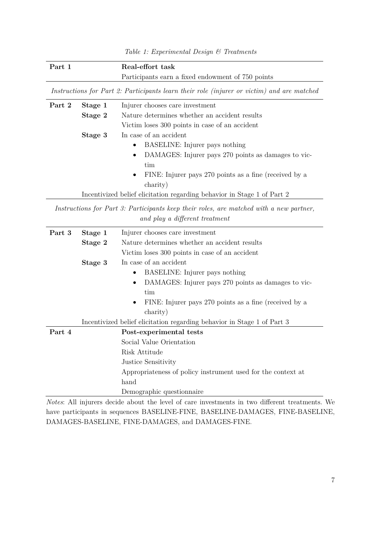| Part 1 | Real-effort task                                  |
|--------|---------------------------------------------------|
|        | Participants earn a fixed endowment of 750 points |

*Instructions for Part 2: Participants learn their role (injurer or victim) and are matched*

| Part 2 | Stage 1 | Injurer chooses care investment                                         |  |
|--------|---------|-------------------------------------------------------------------------|--|
|        | Stage 2 | Nature determines whether an accident results                           |  |
|        |         | Victim loses 300 points in case of an accident                          |  |
|        | Stage 3 | In case of an accident                                                  |  |
|        |         | <b>BASELINE:</b> Injurer pays nothing<br>$\bullet$                      |  |
|        |         | DAMAGES: Injurer pays 270 points as damages to vic-<br>$\bullet$        |  |
|        |         | tim                                                                     |  |
|        |         | FINE: Injurer pays 270 points as a fine (received by a<br>$\bullet$     |  |
|        |         | charity)                                                                |  |
|        |         | Incentivized belief elicitation regarding behavior in Stage 1 of Part 2 |  |

*Instructions for Part 3: Participants keep their roles, are matched with a new partner, and play a different treatment* 

| Part 3 | Stage 1 | Injurer chooses care investment                                         |  |  |
|--------|---------|-------------------------------------------------------------------------|--|--|
|        | Stage 2 | Nature determines whether an accident results                           |  |  |
|        |         | Victim loses 300 points in case of an accident                          |  |  |
|        | Stage 3 | In case of an accident                                                  |  |  |
|        |         | BASELINE: Injurer pays nothing<br>$\bullet$                             |  |  |
|        |         | DAMAGES: Injurer pays 270 points as damages to vic-<br>$\bullet$        |  |  |
|        |         | tim                                                                     |  |  |
|        |         | FINE: Injurer pays 270 points as a fine (received by a<br>$\bullet$     |  |  |
|        |         | charity)                                                                |  |  |
|        |         | Incentivized belief elicitation regarding behavior in Stage 1 of Part 3 |  |  |
| Part 4 |         | Post-experimental tests                                                 |  |  |
|        |         | Social Value Orientation                                                |  |  |
|        |         | Risk Attitude                                                           |  |  |
|        |         | Justice Sensitivity                                                     |  |  |
|        |         | Appropriateness of policy instrument used for the context at            |  |  |
|        |         | hand                                                                    |  |  |
|        |         | Demographic questionnaire                                               |  |  |
|        |         | 1.00<br>$\blacksquare$                                                  |  |  |

*Notes*: All injurers decide about the level of care investments in two different treatments. We have participants in sequences BASELINE-FINE, BASELINE-DAMAGES, FINE-BASELINE, DAMAGES-BASELINE, FINE-DAMAGES, and DAMAGES-FINE.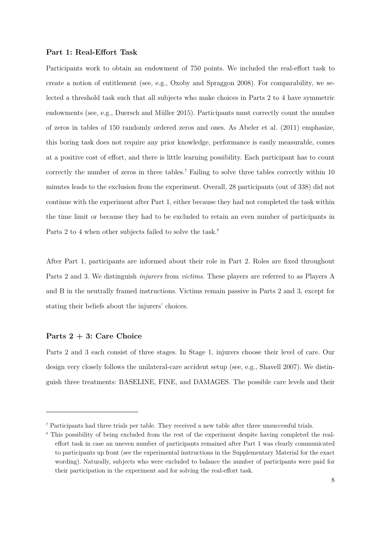## **Part 1: Real-Effort Task**

Participants work to obtain an endowment of 750 points. We included the real-effort task to create a notion of entitlement (see, e.g., Oxoby and Spraggon 2008). For comparability, we selected a threshold task such that all subjects who make choices in Parts 2 to 4 have symmetric endowments (see, e.g., Duersch and Müller 2015). Participants must correctly count the number of zeros in tables of 150 randomly ordered zeros and ones. As Abeler et al. (2011) emphasize, this boring task does not require any prior knowledge, performance is easily measurable, comes at a positive cost of effort, and there is little learning possibility. Each participant has to count correctly the number of zeros in three tables.<sup>7</sup> Failing to solve three tables correctly within 10 minutes leads to the exclusion from the experiment. Overall, 28 participants (out of 338) did not continue with the experiment after Part 1, either because they had not completed the task within the time limit or because they had to be excluded to retain an even number of participants in Parts 2 to 4 when other subjects failed to solve the task.<sup>8</sup>

After Part 1, participants are informed about their role in Part 2. Roles are fixed throughout Parts 2 and 3. We distinguish *injurers* from *victims*. These players are referred to as Players A and B in the neutrally framed instructions. Victims remain passive in Parts 2 and 3, except for stating their beliefs about the injurers' choices.

#### **Parts 2 + 3: Care Choice**

-

Parts 2 and 3 each consist of three stages. In Stage 1, injurers choose their level of care. Our design very closely follows the unilateral-care accident setup (see, e.g., Shavell 2007). We distinguish three treatments: BASELINE, FINE, and DAMAGES. The possible care levels and their

<sup>7</sup> Participants had three trials per table. They received a new table after three unsuccessful trials.

<sup>&</sup>lt;sup>8</sup> This possibility of being excluded from the rest of the experiment despite having completed the realeffort task in case an uneven number of participants remained after Part 1 was clearly communicated to participants up front (see the experimental instructions in the Supplementary Material for the exact wording). Naturally, subjects who were excluded to balance the number of participants were paid for their participation in the experiment and for solving the real-effort task.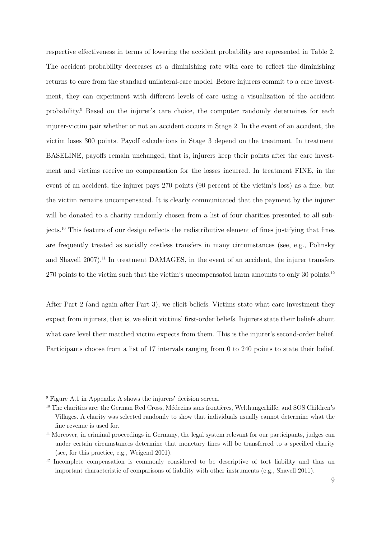respective effectiveness in terms of lowering the accident probability are represented in Table 2. The accident probability decreases at a diminishing rate with care to reflect the diminishing returns to care from the standard unilateral-care model. Before injurers commit to a care investment, they can experiment with different levels of care using a visualization of the accident probability.<sup>9</sup> Based on the injurer's care choice, the computer randomly determines for each injurer-victim pair whether or not an accident occurs in Stage 2. In the event of an accident, the victim loses 300 points. Payoff calculations in Stage 3 depend on the treatment. In treatment BASELINE, payoffs remain unchanged, that is, injurers keep their points after the care investment and victims receive no compensation for the losses incurred. In treatment FINE, in the event of an accident, the injurer pays 270 points (90 percent of the victim's loss) as a fine, but the victim remains uncompensated. It is clearly communicated that the payment by the injurer will be donated to a charity randomly chosen from a list of four charities presented to all subjects.10 This feature of our design reflects the redistributive element of fines justifying that fines are frequently treated as socially costless transfers in many circumstances (see, e.g., Polinsky and Shavell 2007).<sup>11</sup> In treatment DAMAGES, in the event of an accident, the injurer transfers 270 points to the victim such that the victim's uncompensated harm amounts to only 30 points.<sup>12</sup>

After Part 2 (and again after Part 3), we elicit beliefs. Victims state what care investment they expect from injurers, that is, we elicit victims' first-order beliefs. Injurers state their beliefs about what care level their matched victim expects from them. This is the injurer's second-order belief. Participants choose from a list of 17 intervals ranging from 0 to 240 points to state their belief.

<sup>9</sup> Figure A.1 in Appendix A shows the injurers' decision screen.

<sup>10</sup> The charities are: the German Red Cross, Médecins sans frontières, Welthungerhilfe, and SOS Children's Villages. A charity was selected randomly to show that individuals usually cannot determine what the fine revenue is used for.

<sup>&</sup>lt;sup>11</sup> Moreover, in criminal proceedings in Germany, the legal system relevant for our participants, judges can under certain circumstances determine that monetary fines will be transferred to a specified charity (see, for this practice, e.g., Weigend 2001).

 $12$  Incomplete compensation is commonly considered to be descriptive of tort liability and thus an important characteristic of comparisons of liability with other instruments (e.g., Shavell 2011).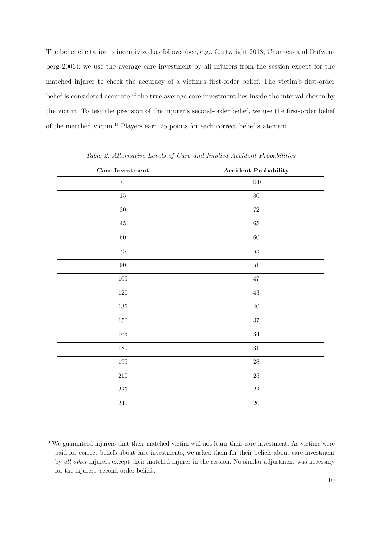The belief elicitation is incentivized as follows (see, e.g., Cartwright 2018, Charness and Dufwenberg 2006): we use the average care investment by all injurers from the session except for the matched injurer to check the accuracy of a victim's first-order belief. The victim's first-order belief is considered accurate if the true average care investment lies inside the interval chosen by the victim. To test the precision of the injurer's second-order belief, we use the first-order belief of the matched victim.13 Players earn 25 points for each correct belief statement.

| $\operatorname{Care}\,$ Investment | <b>Accident Probability</b> |
|------------------------------------|-----------------------------|
| $\boldsymbol{0}$                   | $100\,$                     |
| $15\,$                             | $80\,$                      |
| 30                                 | $72\,$                      |
| $\rm 45$                           | $65\,$                      |
| $60\,$                             | $60\,$                      |
| $75\,$                             | $55\,$                      |
| $90\,$                             | $51\,$                      |
| $105\,$                            | $47\,$                      |
| $120\,$                            | $43\,$                      |
| $135\,$                            | $40\,$                      |
| $150\,$                            | $37\,$                      |
| $165\,$                            | $34\,$                      |
| $180\,$                            | $31\,$                      |
| $195\,$                            | $28\,$                      |
| $210\,$                            | $25\,$                      |
| $225\,$                            | $22\,$                      |
| $240\,$                            | $20\,$                      |

*Table 2: Alternative Levels of Care and Implied Accident Probabilities* 

<sup>&</sup>lt;sup>13</sup> We guaranteed injurers that their matched victim will not learn their care investment. As victims were paid for correct beliefs about care investments, we asked them for their beliefs about care investment by *all other* injurers except their matched injurer in the session. No similar adjustment was necessary for the injurers' second-order beliefs.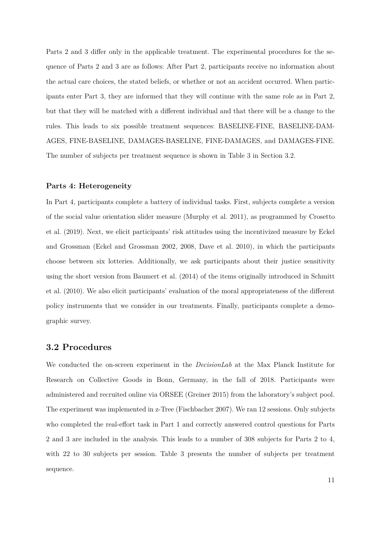Parts 2 and 3 differ only in the applicable treatment. The experimental procedures for the sequence of Parts 2 and 3 are as follows: After Part 2, participants receive no information about the actual care choices, the stated beliefs, or whether or not an accident occurred. When participants enter Part 3, they are informed that they will continue with the same role as in Part 2, but that they will be matched with a different individual and that there will be a change to the rules. This leads to six possible treatment sequences: BASELINE-FINE, BASELINE-DAM-AGES, FINE-BASELINE, DAMAGES-BASELINE, FINE-DAMAGES, and DAMAGES-FINE. The number of subjects per treatment sequence is shown in Table 3 in Section 3.2.

#### **Parts 4: Heterogeneity**

In Part 4, participants complete a battery of individual tasks. First, subjects complete a version of the social value orientation slider measure (Murphy et al. 2011), as programmed by Crosetto et al. (2019). Next, we elicit participants' risk attitudes using the incentivized measure by Eckel and Grossman (Eckel and Grossman 2002, 2008, Dave et al. 2010), in which the participants choose between six lotteries. Additionally, we ask participants about their justice sensitivity using the short version from Baumert et al. (2014) of the items originally introduced in Schmitt et al. (2010). We also elicit participants' evaluation of the moral appropriateness of the different policy instruments that we consider in our treatments. Finally, participants complete a demographic survey.

## **3.2 Procedures**

We conducted the on-screen experiment in the *DecisionLab* at the Max Planck Institute for Research on Collective Goods in Bonn, Germany, in the fall of 2018. Participants were administered and recruited online via ORSEE (Greiner 2015) from the laboratory's subject pool. The experiment was implemented in z-Tree (Fischbacher 2007). We ran 12 sessions. Only subjects who completed the real-effort task in Part 1 and correctly answered control questions for Parts 2 and 3 are included in the analysis. This leads to a number of 308 subjects for Parts 2 to 4, with 22 to 30 subjects per session. Table 3 presents the number of subjects per treatment sequence.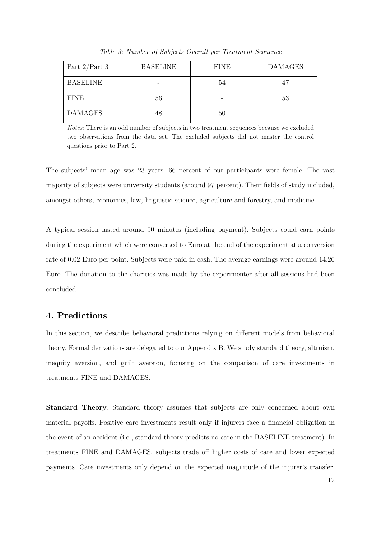| Part $2$ /Part 3 | <b>BASELINE</b> | <b>FINE</b> | <b>DAMAGES</b> |
|------------------|-----------------|-------------|----------------|
| <b>BASELINE</b>  |                 | 54          |                |
| <b>FINE</b>      | 56              |             | 53             |
| <b>DAMAGES</b>   | 48              | 50          |                |

*Table 3: Number of Subjects Overall per Treatment Sequence* 

*Notes*: There is an odd number of subjects in two treatment sequences because we excluded two observations from the data set. The excluded subjects did not master the control questions prior to Part 2.

The subjects' mean age was 23 years. 66 percent of our participants were female. The vast majority of subjects were university students (around 97 percent). Their fields of study included, amongst others, economics, law, linguistic science, agriculture and forestry, and medicine.

A typical session lasted around 90 minutes (including payment). Subjects could earn points during the experiment which were converted to Euro at the end of the experiment at a conversion rate of 0.02 Euro per point. Subjects were paid in cash. The average earnings were around 14.20 Euro. The donation to the charities was made by the experimenter after all sessions had been concluded.

## **4. Predictions**

In this section, we describe behavioral predictions relying on different models from behavioral theory. Formal derivations are delegated to our Appendix B. We study standard theory, altruism, inequity aversion, and guilt aversion, focusing on the comparison of care investments in treatments FINE and DAMAGES.

**Standard Theory.** Standard theory assumes that subjects are only concerned about own material payoffs. Positive care investments result only if injurers face a financial obligation in the event of an accident (i.e., standard theory predicts no care in the BASELINE treatment). In treatments FINE and DAMAGES, subjects trade off higher costs of care and lower expected payments. Care investments only depend on the expected magnitude of the injurer's transfer,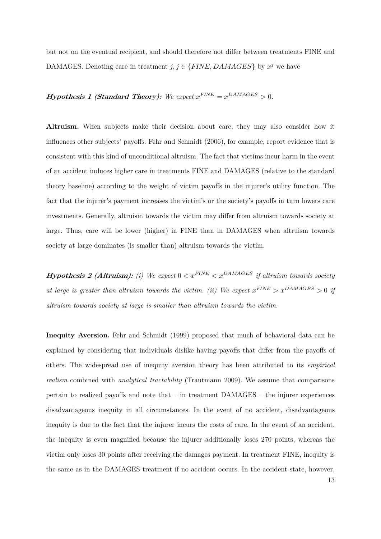but not on the eventual recipient, and should therefore not differ between treatments FINE and DAMAGES. Denoting care in treatment  $j, j \in \{FINE, DAMAGES\}$  by  $x^j$  we have

## **Hypothesis 1 (Standard Theory):** We expect  $x^{FINE} = x^{DAMAGES} > 0$ .

**Altruism.** When subjects make their decision about care, they may also consider how it influences other subjects' payoffs. Fehr and Schmidt (2006), for example, report evidence that is consistent with this kind of unconditional altruism. The fact that victims incur harm in the event of an accident induces higher care in treatments FINE and DAMAGES (relative to the standard theory baseline) according to the weight of victim payoffs in the injurer's utility function. The fact that the injurer's payment increases the victim's or the society's payoffs in turn lowers care investments. Generally, altruism towards the victim may differ from altruism towards society at large. Thus, care will be lower (higher) in FINE than in DAMAGES when altruism towards society at large dominates (is smaller than) altruism towards the victim.

**Hypothesis 2 (Altruism):** (i) We expect  $0 < x^{FINE} < x^{DAMAGES}$  if altruism towards society *at large is greater than altruism towards the victim. (ii) We expect*  $x^{FINE} > x^{DAMAGES} > 0$  if *altruism towards society at large is smaller than altruism towards the victim.* 

**Inequity Aversion.** Fehr and Schmidt (1999) proposed that much of behavioral data can be explained by considering that individuals dislike having payoffs that differ from the payoffs of others. The widespread use of inequity aversion theory has been attributed to its *empirical realism* combined with *analytical tractability* (Trautmann 2009). We assume that comparisons pertain to realized payoffs and note that – in treatment DAMAGES – the injurer experiences disadvantageous inequity in all circumstances. In the event of no accident, disadvantageous inequity is due to the fact that the injurer incurs the costs of care. In the event of an accident, the inequity is even magnified because the injurer additionally loses 270 points, whereas the victim only loses 30 points after receiving the damages payment. In treatment FINE, inequity is the same as in the DAMAGES treatment if no accident occurs. In the accident state, however,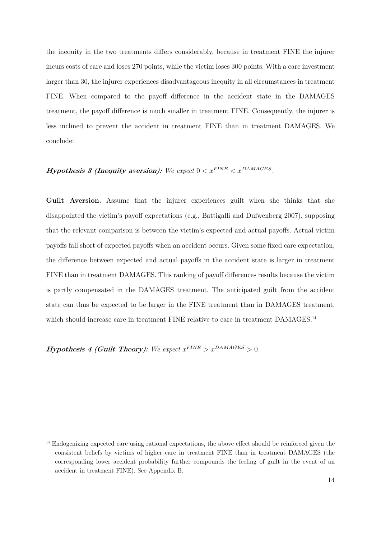the inequity in the two treatments differs considerably, because in treatment FINE the injurer incurs costs of care and loses 270 points, while the victim loses 300 points. With a care investment larger than 30, the injurer experiences disadvantageous inequity in all circumstances in treatment FINE. When compared to the payoff difference in the accident state in the DAMAGES treatment, the payoff difference is much smaller in treatment FINE. Consequently, the injurer is less inclined to prevent the accident in treatment FINE than in treatment DAMAGES. We conclude:

# **Hypothesis 3 (Inequity aversion):** We expect  $0 < x^{FINE} < x^{DAMAGES}$ .

**Guilt Aversion.** Assume that the injurer experiences guilt when she thinks that she disappointed the victim's payoff expectations (e.g., Battigalli and Dufwenberg 2007), supposing that the relevant comparison is between the victim's expected and actual payoffs. Actual victim payoffs fall short of expected payoffs when an accident occurs. Given some fixed care expectation, the difference between expected and actual payoffs in the accident state is larger in treatment FINE than in treatment DAMAGES. This ranking of payoff differences results because the victim is partly compensated in the DAMAGES treatment. The anticipated guilt from the accident state can thus be expected to be larger in the FINE treatment than in DAMAGES treatment, which should increase care in treatment FINE relative to care in treatment DAMAGES.<sup>14</sup>

**Hypothesis 4 (Guilt Theory):** We expect  $x^{FINE} > x^{DAMAGES} > 0$ .

<sup>&</sup>lt;sup>14</sup> Endogenizing expected care using rational expectations, the above effect should be reinforced given the consistent beliefs by victims of higher care in treatment FINE than in treatment DAMAGES (the corresponding lower accident probability further compounds the feeling of guilt in the event of an accident in treatment FINE). See Appendix B.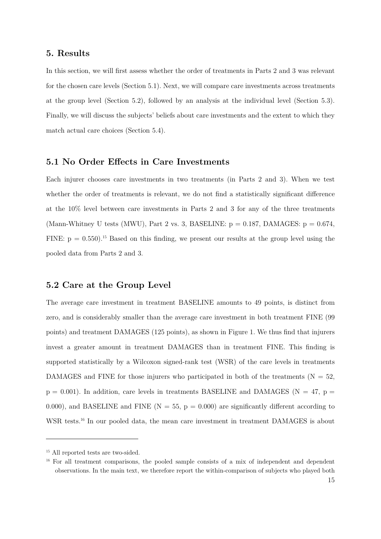## **5. Results**

In this section, we will first assess whether the order of treatments in Parts 2 and 3 was relevant for the chosen care levels (Section 5.1). Next, we will compare care investments across treatments at the group level (Section 5.2), followed by an analysis at the individual level (Section 5.3). Finally, we will discuss the subjects' beliefs about care investments and the extent to which they match actual care choices (Section 5.4).

## **5.1 No Order Effects in Care Investments**

Each injurer chooses care investments in two treatments (in Parts 2 and 3). When we test whether the order of treatments is relevant, we do not find a statistically significant difference at the 10% level between care investments in Parts 2 and 3 for any of the three treatments (Mann-Whitney U tests (MWU), Part 2 vs. 3, BASELINE:  $p = 0.187$ , DAMAGES:  $p = 0.674$ , FINE:  $p = 0.550$ .<sup>15</sup> Based on this finding, we present our results at the group level using the pooled data from Parts 2 and 3.

## **5.2 Care at the Group Level**

The average care investment in treatment BASELINE amounts to 49 points, is distinct from zero, and is considerably smaller than the average care investment in both treatment FINE (99 points) and treatment DAMAGES (125 points), as shown in Figure 1. We thus find that injurers invest a greater amount in treatment DAMAGES than in treatment FINE. This finding is supported statistically by a Wilcoxon signed-rank test (WSR) of the care levels in treatments DAMAGES and FINE for those injurers who participated in both of the treatments ( $N = 52$ ,  $p = 0.001$ ). In addition, care levels in treatments BASELINE and DAMAGES (N = 47, p = 0.000), and BASELINE and FINE ( $N = 55$ ,  $p = 0.000$ ) are significantly different according to WSR tests.<sup>16</sup> In our pooled data, the mean care investment in treatment DAMAGES is about

<sup>&</sup>lt;sup>15</sup> All reported tests are two-sided.

<sup>&</sup>lt;sup>16</sup> For all treatment comparisons, the pooled sample consists of a mix of independent and dependent observations. In the main text, we therefore report the within-comparison of subjects who played both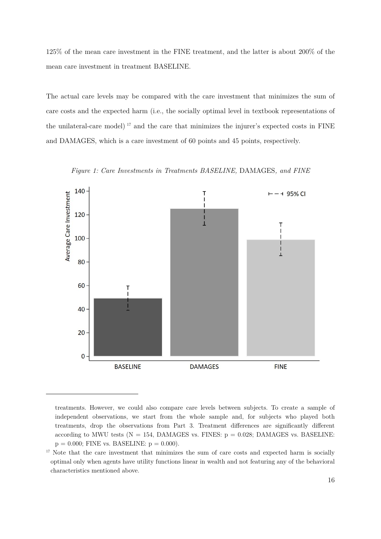125% of the mean care investment in the FINE treatment, and the latter is about 200% of the mean care investment in treatment BASELINE.

The actual care levels may be compared with the care investment that minimizes the sum of care costs and the expected harm (i.e., the socially optimal level in textbook representations of the unilateral-care model) 17 and the care that minimizes the injurer's expected costs in FINE and DAMAGES, which is a care investment of 60 points and 45 points, respectively.

*Figure 1: Care Investments in Treatments BASELINE,* DAMAGES*, and FINE* 



treatments. However, we could also compare care levels between subjects. To create a sample of independent observations, we start from the whole sample and, for subjects who played both treatments, drop the observations from Part 3. Treatment differences are significantly different according to MWU tests ( $N = 154$ , DAMAGES vs. FINES:  $p = 0.028$ ; DAMAGES vs. BASELINE:  $p = 0.000$ ; FINE vs. BASELINE:  $p = 0.000$ ).

<sup>&</sup>lt;sup>17</sup> Note that the care investment that minimizes the sum of care costs and expected harm is socially optimal only when agents have utility functions linear in wealth and not featuring any of the behavioral characteristics mentioned above.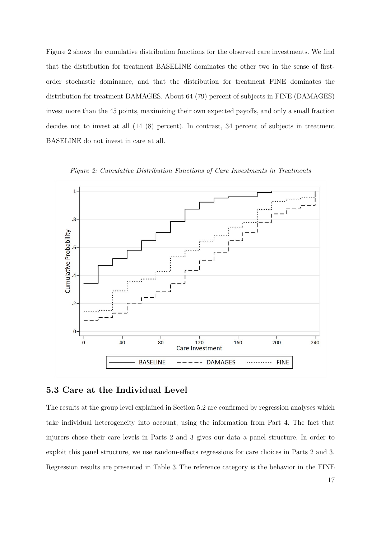Figure 2 shows the cumulative distribution functions for the observed care investments. We find that the distribution for treatment BASELINE dominates the other two in the sense of firstorder stochastic dominance, and that the distribution for treatment FINE dominates the distribution for treatment DAMAGES. About 64 (79) percent of subjects in FINE (DAMAGES) invest more than the 45 points, maximizing their own expected payoffs, and only a small fraction decides not to invest at all (14 (8) percent). In contrast, 34 percent of subjects in treatment BASELINE do not invest in care at all.



*Figure 2: Cumulative Distribution Functions of Care Investments in Treatments* 

# **5.3 Care at the Individual Level**

The results at the group level explained in Section 5.2 are confirmed by regression analyses which take individual heterogeneity into account, using the information from Part 4. The fact that injurers chose their care levels in Parts 2 and 3 gives our data a panel structure. In order to exploit this panel structure, we use random-effects regressions for care choices in Parts 2 and 3. Regression results are presented in Table 3. The reference category is the behavior in the FINE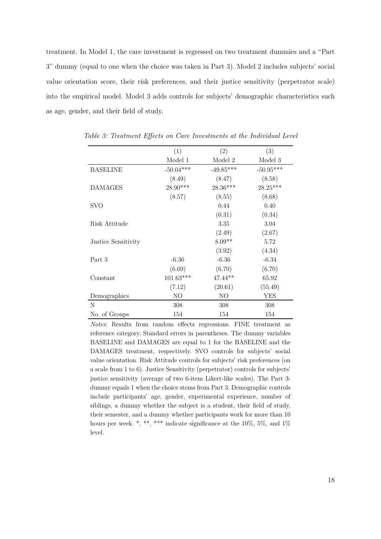treatment. In Model 1, the care investment is regressed on two treatment dummies and a "Part 3" dummy (equal to one when the choice was taken in Part 3). Model 2 includes subjects' social value orientation score, their risk preferences, and their justice sensitivity (perpetrator scale) into the empirical model. Model 3 adds controls for subjects' demographic characteristics such as age, gender, and their field of study.

|                     | (1)         | (2)         | (3)         |
|---------------------|-------------|-------------|-------------|
|                     | Model 1     | Model 2     | Model 3     |
| <b>BASELINE</b>     | $-50.04***$ | $-49.85***$ | $-50.95***$ |
|                     | (8.49)      | (8.47)      | (8.58)      |
| <b>DAMAGES</b>      | $28.90***$  | 28.36***    | $28.25***$  |
|                     | (8.57)      | (8.55)      | (8.68)      |
| <b>SVO</b>          |             | 0.44        | 0.40        |
|                     |             | (0.31)      | (0.34)      |
| Risk Attitude       |             | 3.35        | 3.04        |
|                     |             | (2.49)      | (2.67)      |
| Justice Sensitivity |             | $8.09**$    | 5.72        |
|                     |             | (3.92)      | (4.34)      |
| Part 3              | $-6.36$     | $-6.36$     | $-6.34$     |
|                     | (6.69)      | (6.70)      | (6.70)      |
| Constant            | $101.63***$ | $47.44**$   | 65.92       |
|                     | (7.12)      | (20.61)     | (55.49)     |
| Demographics        | NO          | NO          | YES         |
| N                   | 308         | 308         | 308         |
| No. of Groups       | 154         | 154         | 154         |

*Table 3: Treatment Effects on Care Investments at the Individual Level* 

*Notes*: Results from random effects regressions. FINE treatment as reference category. Standard errors in parentheses. The dummy variables BASELINE and DAMAGES are equal to 1 for the BASELINE and the DAMAGES treatment, respectively. SVO controls for subjects' social value orientation. Risk Attitude controls for subjects' risk preferences (on a scale from 1 to 6). Justice Sensitivity (perpetrator) controls for subjects' justice sensitivity (average of two 6-item Likert-like scales). The Part 3 dummy equals 1 when the choice stems from Part 3. Demographic controls include participants' age, gender, experimental experience, number of siblings, a dummy whether the subject is a student, their field of study, their semester, and a dummy whether participants work for more than 10 hours per week.  $*, **$ , \*\*\* indicate significance at the 10%, 5%, and 1% level.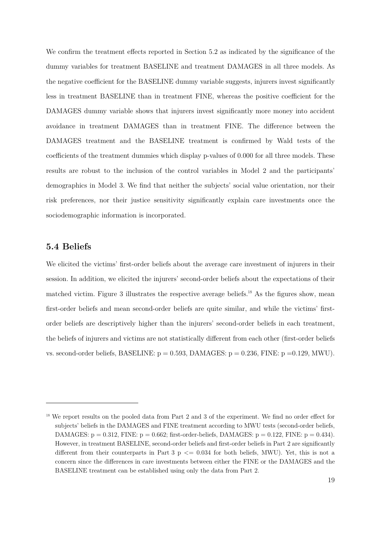We confirm the treatment effects reported in Section 5.2 as indicated by the significance of the dummy variables for treatment BASELINE and treatment DAMAGES in all three models. As the negative coefficient for the BASELINE dummy variable suggests, injurers invest significantly less in treatment BASELINE than in treatment FINE, whereas the positive coefficient for the DAMAGES dummy variable shows that injurers invest significantly more money into accident avoidance in treatment DAMAGES than in treatment FINE. The difference between the DAMAGES treatment and the BASELINE treatment is confirmed by Wald tests of the coefficients of the treatment dummies which display p-values of 0.000 for all three models. These results are robust to the inclusion of the control variables in Model 2 and the participants' demographics in Model 3. We find that neither the subjects' social value orientation, nor their risk preferences, nor their justice sensitivity significantly explain care investments once the sociodemographic information is incorporated.

# **5.4 Beliefs**

-

We elicited the victims' first-order beliefs about the average care investment of injurers in their session. In addition, we elicited the injurers' second-order beliefs about the expectations of their matched victim. Figure 3 illustrates the respective average beliefs.<sup>18</sup> As the figures show, mean first-order beliefs and mean second-order beliefs are quite similar, and while the victims' firstorder beliefs are descriptively higher than the injurers' second-order beliefs in each treatment, the beliefs of injurers and victims are not statistically different from each other (first-order beliefs vs. second-order beliefs, BASELINE:  $p = 0.593$ , DAMAGES:  $p = 0.236$ , FINE:  $p = 0.129$ , MWU).

<sup>&</sup>lt;sup>18</sup> We report results on the pooled data from Part 2 and 3 of the experiment. We find no order effect for subjects' beliefs in the DAMAGES and FINE treatment according to MWU tests (second-order beliefs, DAMAGES:  $p = 0.312$ , FINE:  $p = 0.662$ ; first-order-beliefs, DAMAGES:  $p = 0.122$ , FINE:  $p = 0.434$ ). However, in treatment BASELINE, second-order beliefs and first-order beliefs in Part 2 are significantly different from their counterparts in Part 3  $p \le 0.034$  for both beliefs, MWU). Yet, this is not a concern since the differences in care investments between either the FINE or the DAMAGES and the BASELINE treatment can be established using only the data from Part 2.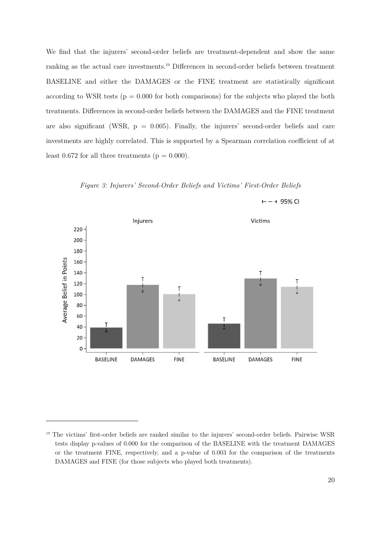We find that the injurers' second-order beliefs are treatment-dependent and show the same ranking as the actual care investments.19 Differences in second-order beliefs between treatment BASELINE and either the DAMAGES or the FINE treatment are statistically significant according to WSR tests ( $p = 0.000$  for both comparisons) for the subjects who played the both treatments. Differences in second-order beliefs between the DAMAGES and the FINE treatment are also significant (WSR,  $p = 0.005$ ). Finally, the injurers' second-order beliefs and care investments are highly correlated. This is supported by a Spearman correlation coefficient of at least 0.672 for all three treatments ( $p = 0.000$ ).

*Figure 3: Injurers' Second-Order Beliefs and Victims' First-Order Beliefs*



 $-1$  95% CI

<sup>&</sup>lt;sup>19</sup> The victims' first-order beliefs are ranked similar to the injurers' second-order beliefs. Pairwise WSR tests display p-values of 0.000 for the comparison of the BASELINE with the treatment DAMAGES or the treatment FINE, respectively, and a p-value of 0.003 for the comparison of the treatments DAMAGES and FINE (for those subjects who played both treatments).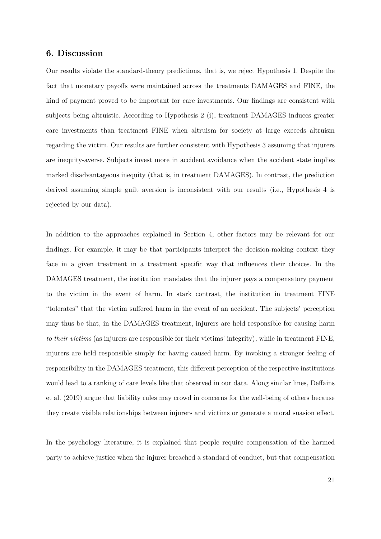## **6. Discussion**

Our results violate the standard-theory predictions, that is, we reject Hypothesis 1. Despite the fact that monetary payoffs were maintained across the treatments DAMAGES and FINE, the kind of payment proved to be important for care investments. Our findings are consistent with subjects being altruistic. According to Hypothesis 2 (i), treatment DAMAGES induces greater care investments than treatment FINE when altruism for society at large exceeds altruism regarding the victim. Our results are further consistent with Hypothesis 3 assuming that injurers are inequity-averse. Subjects invest more in accident avoidance when the accident state implies marked disadvantageous inequity (that is, in treatment DAMAGES). In contrast, the prediction derived assuming simple guilt aversion is inconsistent with our results (i.e., Hypothesis 4 is rejected by our data).

In addition to the approaches explained in Section 4, other factors may be relevant for our findings. For example, it may be that participants interpret the decision-making context they face in a given treatment in a treatment specific way that influences their choices. In the DAMAGES treatment, the institution mandates that the injurer pays a compensatory payment to the victim in the event of harm. In stark contrast, the institution in treatment FINE "tolerates" that the victim suffered harm in the event of an accident. The subjects' perception may thus be that, in the DAMAGES treatment, injurers are held responsible for causing harm *to their victims* (as injurers are responsible for their victims' integrity)*,* while in treatment FINE, injurers are held responsible simply for having caused harm. By invoking a stronger feeling of responsibility in the DAMAGES treatment, this different perception of the respective institutions would lead to a ranking of care levels like that observed in our data. Along similar lines, Deffains et al. (2019) argue that liability rules may crowd in concerns for the well-being of others because they create visible relationships between injurers and victims or generate a moral suasion effect.

In the psychology literature, it is explained that people require compensation of the harmed party to achieve justice when the injurer breached a standard of conduct, but that compensation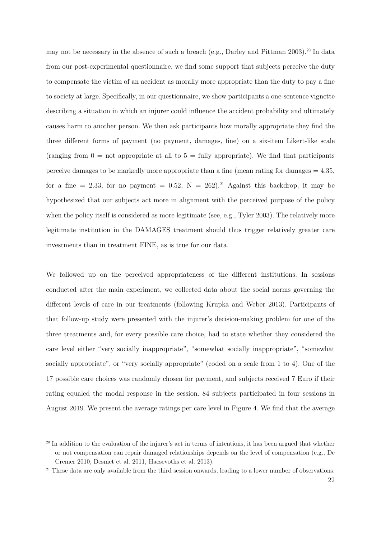may not be necessary in the absence of such a breach (e.g., Darley and Pittman 2003).<sup>20</sup> In data from our post-experimental questionnaire, we find some support that subjects perceive the duty to compensate the victim of an accident as morally more appropriate than the duty to pay a fine to society at large. Specifically, in our questionnaire, we show participants a one-sentence vignette describing a situation in which an injurer could influence the accident probability and ultimately causes harm to another person. We then ask participants how morally appropriate they find the three different forms of payment (no payment, damages, fine) on a six-item Likert-like scale (ranging from  $0 =$  not appropriate at all to  $5 =$  fully appropriate). We find that participants perceive damages to be markedly more appropriate than a fine (mean rating for damages  $= 4.35$ , for a fine = 2.33, for no payment = 0.52,  $N = 262$ ).<sup>21</sup> Against this backdrop, it may be hypothesized that our subjects act more in alignment with the perceived purpose of the policy when the policy itself is considered as more legitimate (see, e.g., Tyler 2003). The relatively more legitimate institution in the DAMAGES treatment should thus trigger relatively greater care investments than in treatment FINE, as is true for our data.

We followed up on the perceived appropriateness of the different institutions. In sessions conducted after the main experiment, we collected data about the social norms governing the different levels of care in our treatments (following Krupka and Weber 2013). Participants of that follow-up study were presented with the injurer's decision-making problem for one of the three treatments and, for every possible care choice, had to state whether they considered the care level either "very socially inappropriate", "somewhat socially inappropriate", "somewhat socially appropriate", or "very socially appropriate" (coded on a scale from 1 to 4). One of the 17 possible care choices was randomly chosen for payment, and subjects received 7 Euro if their rating equaled the modal response in the session. 84 subjects participated in four sessions in August 2019. We present the average ratings per care level in Figure 4. We find that the average

<sup>&</sup>lt;sup>20</sup> In addition to the evaluation of the injurer's act in terms of intentions, it has been argued that whether or not compensation can repair damaged relationships depends on the level of compensation (e.g., De Cremer 2010, Desmet et al. 2011, Haesevoths et al. 2013).

<sup>&</sup>lt;sup>21</sup> These data are only available from the third session onwards, leading to a lower number of observations.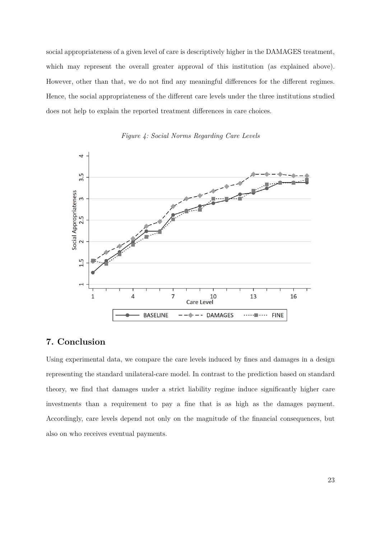social appropriateness of a given level of care is descriptively higher in the DAMAGES treatment, which may represent the overall greater approval of this institution (as explained above). However, other than that, we do not find any meaningful differences for the different regimes. Hence, the social appropriateness of the different care levels under the three institutions studied does not help to explain the reported treatment differences in care choices.

![](_page_24_Figure_1.jpeg)

*Figure 4: Social Norms Regarding Care Levels* 

# **7. Conclusion**

Using experimental data, we compare the care levels induced by fines and damages in a design representing the standard unilateral-care model. In contrast to the prediction based on standard theory, we find that damages under a strict liability regime induce significantly higher care investments than a requirement to pay a fine that is as high as the damages payment. Accordingly, care levels depend not only on the magnitude of the financial consequences, but also on who receives eventual payments.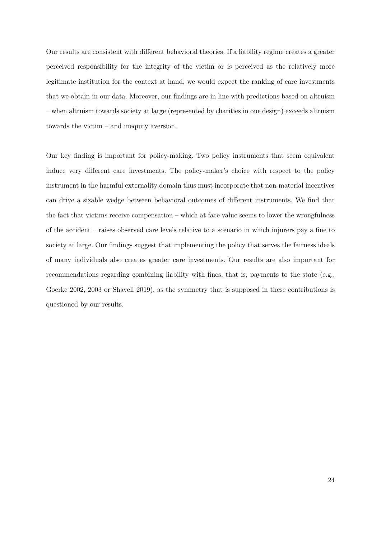Our results are consistent with different behavioral theories. If a liability regime creates a greater perceived responsibility for the integrity of the victim or is perceived as the relatively more legitimate institution for the context at hand, we would expect the ranking of care investments that we obtain in our data. Moreover, our findings are in line with predictions based on altruism – when altruism towards society at large (represented by charities in our design) exceeds altruism towards the victim – and inequity aversion.

Our key finding is important for policy-making. Two policy instruments that seem equivalent induce very different care investments. The policy-maker's choice with respect to the policy instrument in the harmful externality domain thus must incorporate that non-material incentives can drive a sizable wedge between behavioral outcomes of different instruments. We find that the fact that victims receive compensation – which at face value seems to lower the wrongfulness of the accident – raises observed care levels relative to a scenario in which injurers pay a fine to society at large. Our findings suggest that implementing the policy that serves the fairness ideals of many individuals also creates greater care investments. Our results are also important for recommendations regarding combining liability with fines, that is, payments to the state (e.g., Goerke 2002, 2003 or Shavell 2019), as the symmetry that is supposed in these contributions is questioned by our results.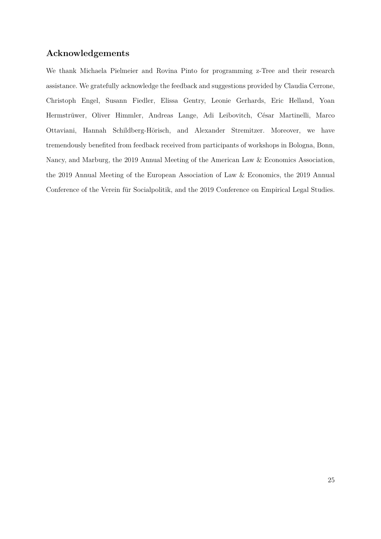# **Acknowledgements**

We thank Michaela Pielmeier and Rovina Pinto for programming z-Tree and their research assistance. We gratefully acknowledge the feedback and suggestions provided by Claudia Cerrone, Christoph Engel, Susann Fiedler, Elissa Gentry, Leonie Gerhards, Eric Helland, Yoan Hermstrüwer, Oliver Himmler, Andreas Lange, Adi Leibovitch, César Martinelli, Marco Ottaviani, Hannah Schildberg-Hörisch, and Alexander Stremitzer. Moreover, we have tremendously benefited from feedback received from participants of workshops in Bologna, Bonn, Nancy, and Marburg, the 2019 Annual Meeting of the American Law & Economics Association, the 2019 Annual Meeting of the European Association of Law & Economics, the 2019 Annual Conference of the Verein für Socialpolitik, and the 2019 Conference on Empirical Legal Studies.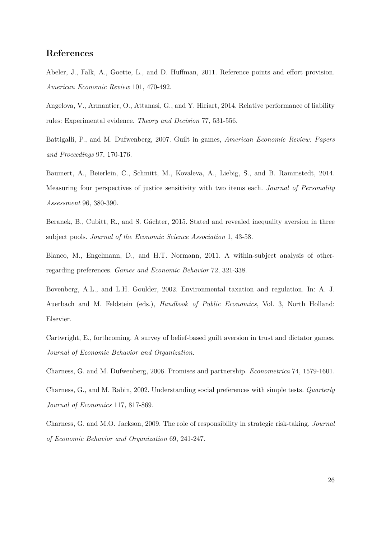# **References**

Abeler, J., Falk, A., Goette, L., and D. Huffman, 2011. Reference points and effort provision. *American Economic Review* 101, 470-492.

Angelova, V., Armantier, O., Attanasi, G., and Y. Hiriart, 2014. Relative performance of liability rules: Experimental evidence. *Theory and Decision* 77, 531-556.

Battigalli, P., and M. Dufwenberg, 2007. Guilt in games, *American Economic Review: Papers and Proceedings* 97, 170-176.

Baumert, A., Beierlein, C., Schmitt, M., Kovaleva, A., Liebig, S., and B. Rammstedt, 2014. Measuring four perspectives of justice sensitivity with two items each. *Journal of Personality Assessment* 96, 380-390.

Beranek, B., Cubitt, R., and S. Gächter, 2015. Stated and revealed inequality aversion in three subject pools. *Journal of the Economic Science Association* 1, 43-58.

Blanco, M., Engelmann, D., and H.T. Normann, 2011. A within-subject analysis of otherregarding preferences. *Games and Economic Behavior* 72, 321-338.

Bovenberg, A.L., and L.H. Goulder, 2002. Environmental taxation and regulation. In: A. J. Auerbach and M. Feldstein (eds.), *Handbook of Public Economics*, Vol. 3, North Holland: Elsevier.

Cartwright, E., forthcoming. A survey of belief-based guilt aversion in trust and dictator games. *Journal of Economic Behavior and Organization.*

Charness, G. and M. Dufwenberg, 2006. Promises and partnership. *Econometrica* 74, 1579-1601.

Charness, G., and M. Rabin, 2002. Understanding social preferences with simple tests. *Quarterly Journal of Economics* 117, 817-869*.*

Charness, G. and M.O. Jackson, 2009. The role of responsibility in strategic risk-taking. *Journal of Economic Behavior and Organization* 69, 241-247.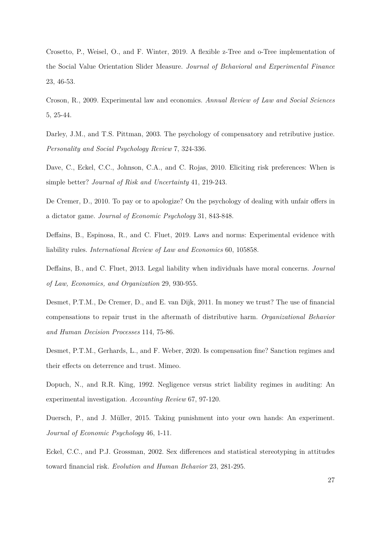Crosetto, P., Weisel, O., and F. Winter, 2019. A flexible z-Tree and o-Tree implementation of the Social Value Orientation Slider Measure. *Journal of Behavioral and Experimental Finance*  23, 46-53.

Croson, R., 2009. Experimental law and economics. *Annual Review of Law and Social Sciences* 5, 25-44.

Darley, J.M., and T.S. Pittman, 2003. The psychology of compensatory and retributive justice. *Personality and Social Psychology Review* 7, 324-336.

Dave, C., Eckel, C.C., Johnson, C.A., and C. Rojas, 2010. Eliciting risk preferences: When is simple better? *Journal of Risk and Uncertainty* 41, 219-243.

De Cremer, D., 2010. To pay or to apologize? On the psychology of dealing with unfair offers in a dictator game. *Journal of Economic Psychology* 31, 843-848.

Deffains, B., Espinosa, R., and C. Fluet, 2019. Laws and norms: Experimental evidence with liability rules. *International Review of Law and Economics* 60, 105858.

Deffains, B., and C. Fluet, 2013. Legal liability when individuals have moral concerns. *Journal of Law, Economics, and Organization* 29, 930-955.

Desmet, P.T.M., De Cremer, D., and E. van Dijk, 2011. In money we trust? The use of financial compensations to repair trust in the aftermath of distributive harm. *Organizational Behavior and Human Decision Processes* 114, 75-86.

Desmet, P.T.M., Gerhards, L., and F. Weber, 2020. Is compensation fine? Sanction regimes and their effects on deterrence and trust. Mimeo.

Dopuch, N., and R.R. King, 1992. Negligence versus strict liability regimes in auditing: An experimental investigation. *Accounting Review* 67, 97-120.

Duersch, P., and J. Müller, 2015. Taking punishment into your own hands: An experiment. *Journal of Economic Psychology* 46, 1-11.

Eckel, C.C., and P.J. Grossman, 2002. Sex differences and statistical stereotyping in attitudes toward financial risk. *Evolution and Human Behavior* 23, 281-295.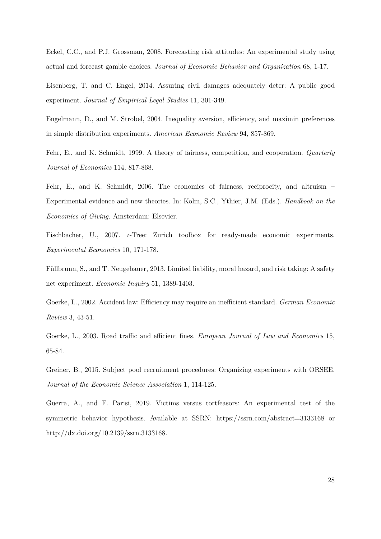Eckel, C.C., and P.J. Grossman, 2008. Forecasting risk attitudes: An experimental study using actual and forecast gamble choices. *Journal of Economic Behavior and Organization* 68, 1-17.

Eisenberg, T. and C. Engel, 2014. Assuring civil damages adequately deter: A public good experiment. *Journal of Empirical Legal Studies* 11, 301-349.

Engelmann, D., and M. Strobel, 2004. Inequality aversion, efficiency, and maximin preferences in simple distribution experiments. *American Economic Review* 94, 857-869.

Fehr, E., and K. Schmidt, 1999. A theory of fairness, competition, and cooperation. *Quarterly Journal of Economics* 114, 817-868.

Fehr, E., and K. Schmidt, 2006. The economics of fairness, reciprocity, and altruism – Experimental evidence and new theories. In: Kolm, S.C., Ythier, J.M. (Eds.). *Handbook on the Economics of Giving.* Amsterdam: Elsevier.

Fischbacher, U., 2007. z-Tree: Zurich toolbox for ready-made economic experiments. *Experimental Economics* 10, 171-178.

Füllbrunn, S., and T. Neugebauer, 2013. Limited liability, moral hazard, and risk taking: A safety net experiment. *Economic Inquiry* 51, 1389-1403.

Goerke, L., 2002. Accident law: Efficiency may require an inefficient standard. *German Economic Review* 3, 43-51.

Goerke, L., 2003. Road traffic and efficient fines. *European Journal of Law and Economics* 15, 65-84.

Greiner, B., 2015. Subject pool recruitment procedures: Organizing experiments with ORSEE. *Journal of the Economic Science Association* 1, 114-125.

Guerra, A., and F. Parisi, 2019. Victims versus tortfeasors: An experimental test of the symmetric behavior hypothesis. Available at SSRN: https://ssrn.com/abstract=3133168 or http://dx.doi.org/10.2139/ssrn.3133168.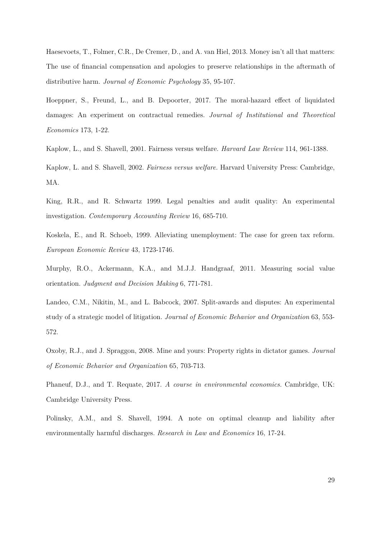Haesevoets, T., Folmer, C.R., De Cremer, D., and A. van Hiel, 2013. Money isn't all that matters: The use of financial compensation and apologies to preserve relationships in the aftermath of distributive harm. *Journal of Economic Psychology* 35, 95-107.

Hoeppner, S., Freund, L., and B. Depoorter, 2017. The moral-hazard effect of liquidated damages: An experiment on contractual remedies. *Journal of Institutional and Theoretical Economics* 173, 1-22.

Kaplow, L., and S. Shavell, 2001. Fairness versus welfare. *Harvard Law Review* 114, 961-1388.

Kaplow, L. and S. Shavell, 2002. *Fairness versus welfare.* Harvard University Press: Cambridge, MA.

King, R.R., and R. Schwartz 1999. Legal penalties and audit quality: An experimental investigation. *Contemporary Accounting Review* 16, 685-710.

Koskela, E., and R. Schoeb, 1999. Alleviating unemployment: The case for green tax reform. *European Economic Review* 43, 1723-1746.

Murphy, R.O., Ackermann, K.A., and M.J.J. Handgraaf, 2011. Measuring social value orientation. *Judgment and Decision Making* 6, 771-781.

Landeo, C.M., Nikitin, M., and L. Babcock, 2007. Split-awards and disputes: An experimental study of a strategic model of litigation. *Journal of Economic Behavior and Organization* 63, 553- 572.

Oxoby, R.J., and J. Spraggon, 2008. Mine and yours: Property rights in dictator games. *Journal of Economic Behavior and Organization* 65, 703-713.

Phaneuf, D.J., and T. Requate, 2017. *A course in environmental economics.* Cambridge, UK: Cambridge University Press.

Polinsky, A.M., and S. Shavell, 1994. A note on optimal cleanup and liability after environmentally harmful discharges. *Research in Law and Economics* 16, 17-24.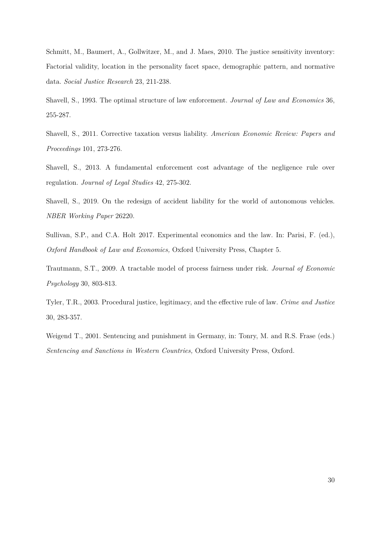Schmitt, M., Baumert, A., Gollwitzer, M., and J. Maes, 2010. The justice sensitivity inventory: Factorial validity, location in the personality facet space, demographic pattern, and normative data. *Social Justice Research* 23, 211-238.

Shavell, S., 1993. The optimal structure of law enforcement. *Journal of Law and Economics* 36, 255-287.

Shavell, S., 2011. Corrective taxation versus liability. *American Economic Review: Papers and Proceedings* 101, 273-276.

Shavell, S., 2013. A fundamental enforcement cost advantage of the negligence rule over regulation. *Journal of Legal Studies* 42, 275-302.

Shavell, S., 2019. On the redesign of accident liability for the world of autonomous vehicles. *NBER Working Paper* 26220.

Sullivan, S.P., and C.A. Holt 2017. Experimental economics and the law. In: Parisi, F. (ed.), *Oxford Handbook of Law and Economics,* Oxford University Press, Chapter 5.

Trautmann, S.T., 2009. A tractable model of process fairness under risk. *Journal of Economic Psychology* 30, 803-813.

Tyler, T.R., 2003. Procedural justice, legitimacy, and the effective rule of law. *Crime and Justice* 30, 283-357.

Weigend T., 2001. Sentencing and punishment in Germany, in: Tonry, M. and R.S. Frase (eds.) *Sentencing and Sanctions in Western Countries,* Oxford University Press, Oxford.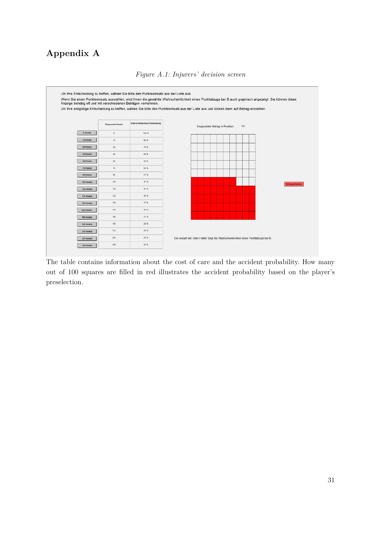# **Appendix A**

![](_page_32_Figure_1.jpeg)

*Figure A.1: Injurers' decision screen* 

The table contains information about the cost of care and the accident probability. How many out of 100 squares are filled in red illustrates the accident probability based on the player's preselection.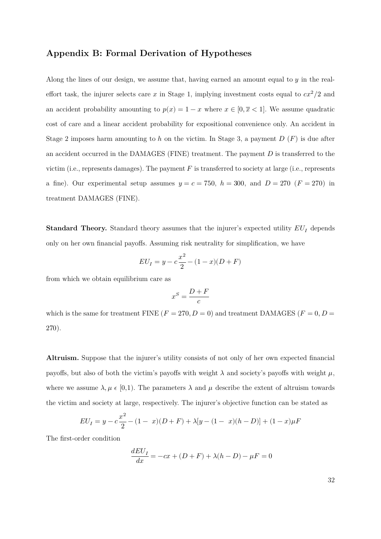## **Appendix B: Formal Derivation of Hypotheses**

Along the lines of our design, we assume that, having earned an amount equal to  $y$  in the realeffort task, the injurer selects care x in Stage 1, implying investment costs equal to  $cx^2/2$  and an accident probability amounting to  $p(x) = 1 - x$  where  $x \in [0, \overline{x} < 1]$ . We assume quadratic cost of care and a linear accident probability for expositional convenience only. An accident in Stage 2 imposes harm amounting to h on the victim. In Stage 3, a payment  $D(F)$  is due after an accident occurred in the DAMAGES (FINE) treatment. The payment  $D$  is transferred to the victim (i.e., represents damages). The payment  $F$  is transferred to society at large (i.e., represents a fine). Our experimental setup assumes  $y = c = 750$ ,  $h = 300$ , and  $D = 270$  ( $F = 270$ ) in treatment DAMAGES (FINE).

**Standard Theory.** Standard theory assumes that the injurer's expected utility  $EU_I$  depends only on her own financial payoffs. Assuming risk neutrality for simplification, we have

$$
EU_I = y - c\frac{x^2}{2} - (1 - x)(D + F)
$$

from which we obtain equilibrium care as

$$
x^S = \frac{D+F}{c}
$$

which is the same for treatment FINE  $(F = 270, D = 0)$  and treatment DAMAGES  $(F = 0, D = 0)$ 270).

**Altruism.** Suppose that the injurer's utility consists of not only of her own expected financial payoffs, but also of both the victim's payoffs with weight  $\lambda$  and society's payoffs with weight  $\mu$ , where we assume  $\lambda, \mu \in [0,1)$ . The parameters  $\lambda$  and  $\mu$  describe the extent of altruism towards the victim and society at large, respectively. The injurer's objective function can be stated as

$$
EU_I = y - c\frac{x^2}{2} - (1 - x)(D + F) + \lambda[y - (1 - x)(h - D)] + (1 - x)\mu F
$$

The first-order condition

$$
\frac{dEU_I}{dx} = -cx + (D+F) + \lambda(h-D) - \mu F = 0
$$

32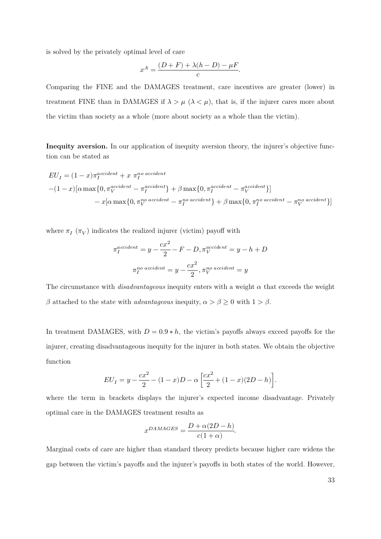is solved by the privately optimal level of care

$$
x^A = \frac{(D+F) + \lambda(h-D) - \mu F}{c}.
$$

Comparing the FINE and the DAMAGES treatment, care incentives are greater (lower) in treatment FINE than in DAMAGES if  $\lambda > \mu$  ( $\lambda < \mu$ ), that is, if the injurer cares more about the victim than society as a whole (more about society as a whole than the victim).

Inequity aversion. In our application of inequity aversion theory, the injurer's objective function can be stated as

$$
EU_I = (1-x)\pi_I^{accident} + x \pi_I^{no\,\,accident}
$$

$$
-(1-x)[\alpha \max\{0, \pi_V^{accident} - \pi_I^{accident}\} + \beta \max\{0, \pi_I^{accident} - \pi_V^{accident}\}]
$$

$$
- x[\alpha \max\{0, \pi_V^{no\,\,accident} - \pi_I^{no\,\,accident}\} + \beta \max\{0, \pi_I^{no\,\,accident} - \pi_V^{no\,\,accident}\}]
$$

where  $\pi_I(\pi_V)$  indicates the realized injurer (victim) payoff with

$$
\pi_I^{accident} = y - \frac{cx^2}{2} - F - D, \pi_V^{accident} = y - h + D
$$

$$
\pi_I^{no\,\,accident} = y - \frac{cx^2}{2}, \pi_V^{no\,\,accident} = y
$$

The circumstance with  $disadvantageous$  inequity enters with a weight  $\alpha$  that exceeds the weight  $\beta$  attached to the state with *advantageous* inequity,  $\alpha > \beta \geq 0$  with  $1 > \beta$ .

In treatment DAMAGES, with  $D = 0.9 * h$ , the victim's payoffs always exceed payoffs for the injurer, creating disadvantageous inequity for the injurer in both states. We obtain the objective function

$$
EU_I = y - \frac{cx^2}{2} - (1-x)D - \alpha \left[ \frac{cx^2}{2} + (1-x)(2D - h) \right].
$$

where the term in brackets displays the injurer's expected income disadvantage. Privately optimal care in the DAMAGES treatment results as

$$
x^{DAMAGES} = \frac{D + \alpha(2D - h)}{c(1 + \alpha)}.
$$

Marginal costs of care are higher than standard theory predicts because higher care widens the gap between the victim's payoffs and the injurer's payoffs in both states of the world. However,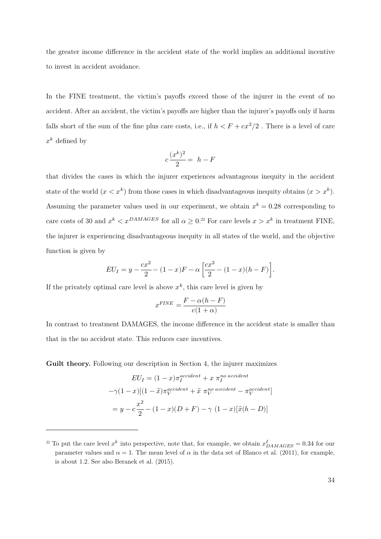the greater income difference in the accident state of the world implies an additional incentive to invest in accident avoidance.

In the FINE treatment, the victim's payoffs exceed those of the injurer in the event of no accident. After an accident, the victim's payoffs are higher than the injurer's payoffs only if harm falls short of the sum of the fine plus care costs, i.e., if  $h < F + cx^2/2$ . There is a level of care  $x^k$  defined by

$$
c\frac{(x^k)^2}{2} = h - F
$$

that divides the cases in which the injurer experiences advantageous inequity in the accident state of the world  $(x < x^k)$  from those cases in which disadvantageous inequity obtains  $(x > x^k)$ . Assuming the parameter values used in our experiment, we obtain  $x^k = 0.28$  corresponding to care costs of 30 and  $x^k < x^{DAMAGES}$  for all  $\alpha \geq 0.2^2$  For care levels  $x > x^k$  in treatment FINE, the injurer is experiencing disadvantageous inequity in all states of the world, and the objective function is given by

$$
EU_I = y - \frac{cx^2}{2} - (1 - x)F - \alpha \left[ \frac{cx^2}{2} - (1 - x)(h - F) \right].
$$

If the privately optimal care level is above  $x^k$ , this care level is given by

$$
x^{FINE} = \frac{F - \alpha(h - F)}{c(1 + \alpha)}
$$

In contrast to treatment DAMAGES, the income difference in the accident state is smaller than that in the no accident state. This reduces care incentives.

**Guilt theory.** Following our description in Section 4, the injurer maximizes

$$
EU_I = (1-x)\pi_I^{accident} + x \pi_I^{no\;accident}
$$

$$
-\gamma(1-x)[(1-\bar{x})\pi_V^{accident} + \bar{x} \pi_V^{no\;accident} - \pi_V^{accident}]
$$

$$
= y - c\frac{x^2}{2} - (1-x)(D+F) - \gamma (1-x)[\bar{x}(h-D)]
$$

<sup>&</sup>lt;sup>22</sup> To put the care level  $x^k$  into perspective, note that, for example, we obtain  $x_{DAMAGES}^I = 0.34$  for our parameter values and  $\alpha = 1$ . The mean level of  $\alpha$  in the data set of Blanco et al. (2011), for example, is about 1.2. See also Beranek et al. (2015).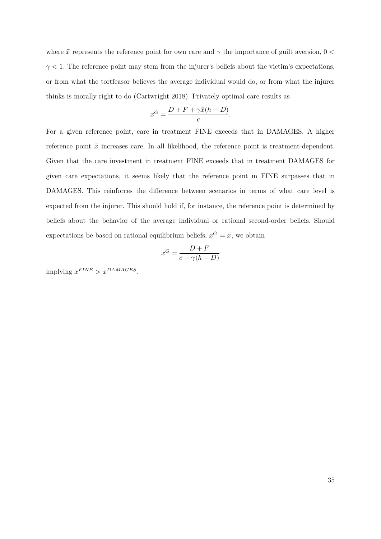where  $\bar{x}$  represents the reference point for own care and  $\gamma$  the importance of guilt aversion,  $0 <$  $\gamma$  < 1. The reference point may stem from the injurer's beliefs about the victim's expectations, or from what the tortfeasor believes the average individual would do, or from what the injurer thinks is morally right to do (Cartwright 2018). Privately optimal care results as

$$
x^G = \frac{D + F + \gamma \bar{x}(h - D)}{c}.
$$

For a given reference point, care in treatment FINE exceeds that in DAMAGES. A higher reference point  $\bar{x}$  increases care. In all likelihood, the reference point is treatment-dependent. Given that the care investment in treatment FINE exceeds that in treatment DAMAGES for given care expectations, it seems likely that the reference point in FINE surpasses that in DAMAGES. This reinforces the difference between scenarios in terms of what care level is expected from the injurer. This should hold if, for instance, the reference point is determined by beliefs about the behavior of the average individual or rational second-order beliefs. Should expectations be based on rational equilibrium beliefs,  $x^G = \bar{x}$ , we obtain

$$
x^G=\frac{D+F}{c-\gamma(h-D)}
$$

implying  $x^{FINE} > x^{DAMAGES}$ .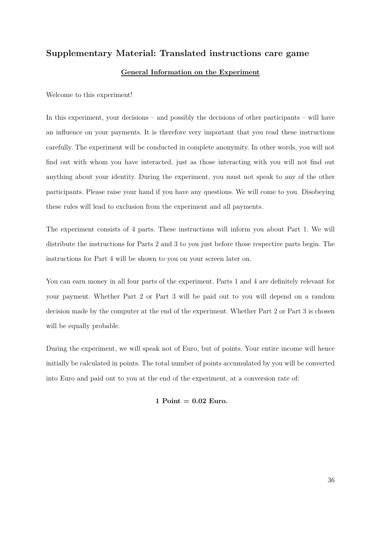## **Supplementary Material: Translated instructions care game**

#### **General Information on the Experiment**

Welcome to this experiment!

In this experiment, your decisions – and possibly the decisions of other participants – will have an influence on your payments. It is therefore very important that you read these instructions carefully. The experiment will be conducted in complete anonymity. In other words, you will not find out with whom you have interacted, just as those interacting with you will not find out anything about your identity. During the experiment, you must not speak to any of the other participants. Please raise your hand if you have any questions. We will come to you. Disobeying these rules will lead to exclusion from the experiment and all payments.

The experiment consists of 4 parts. These instructions will inform you about Part 1. We will distribute the instructions for Parts 2 and 3 to you just before those respective parts begin. The instructions for Part 4 will be shown to you on your screen later on.

You can earn money in all four parts of the experiment. Parts 1 and 4 are definitely relevant for your payment. Whether Part 2 or Part 3 will be paid out to you will depend on a random decision made by the computer at the end of the experiment. Whether Part 2 or Part 3 is chosen will be equally probable.

During the experiment, we will speak not of Euro, but of points. Your entire income will hence initially be calculated in points. The total number of points accumulated by you will be converted into Euro and paid out to you at the end of the experiment, at a conversion rate of:

#### **1 Point = 0.02 Euro.**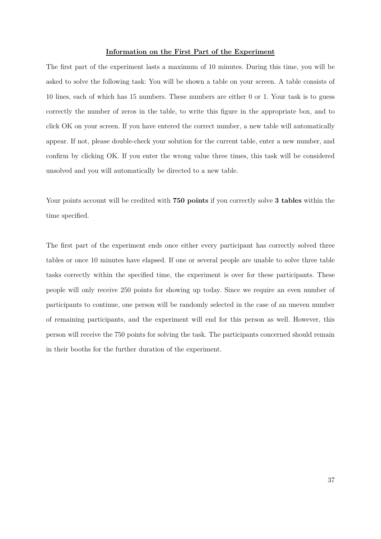#### **Information on the First Part of the Experiment**

The first part of the experiment lasts a maximum of 10 minutes. During this time, you will be asked to solve the following task: You will be shown a table on your screen. A table consists of 10 lines, each of which has 15 numbers. These numbers are either 0 or 1. Your task is to guess correctly the number of zeros in the table, to write this figure in the appropriate box, and to click OK on your screen. If you have entered the correct number, a new table will automatically appear. If not, please double-check your solution for the current table, enter a new number, and confirm by clicking OK. If you enter the wrong value three times, this task will be considered unsolved and you will automatically be directed to a new table.

Your points account will be credited with **750 points** if you correctly solve **3 tables** within the time specified.

The first part of the experiment ends once either every participant has correctly solved three tables or once 10 minutes have elapsed. If one or several people are unable to solve three table tasks correctly within the specified time, the experiment is over for these participants. These people will only receive 250 points for showing up today. Since we require an even number of participants to continue, one person will be randomly selected in the case of an uneven number of remaining participants, and the experiment will end for this person as well. However, this person will receive the 750 points for solving the task. The participants concerned should remain in their booths for the further duration of the experiment.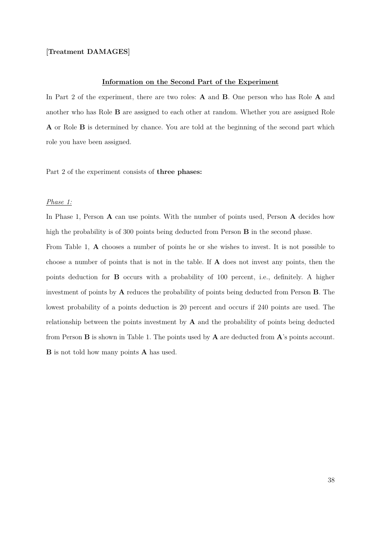### **[Treatment DAMAGES]**

#### **Information on the Second Part of the Experiment**

In Part 2 of the experiment, there are two roles: **A** and **B**. One person who has Role **A** and another who has Role **B** are assigned to each other at random. Whether you are assigned Role **A** or Role **B** is determined by chance. You are told at the beginning of the second part which role you have been assigned.

Part 2 of the experiment consists of **three phases:**

#### *Phase 1:*

In Phase 1, Person **A** can use points. With the number of points used, Person **A** decides how high the probability is of 300 points being deducted from Person **B** in the second phase.

From Table 1, **A** chooses a number of points he or she wishes to invest. It is not possible to choose a number of points that is not in the table. If **A** does not invest any points, then the points deduction for **B** occurs with a probability of 100 percent, i.e., definitely. A higher investment of points by **A** reduces the probability of points being deducted from Person **B**. The lowest probability of a points deduction is 20 percent and occurs if 240 points are used. The relationship between the points investment by **A** and the probability of points being deducted from Person **B** is shown in Table 1. The points used by **A** are deducted from **A**'s points account. **B** is not told how many points **A** has used.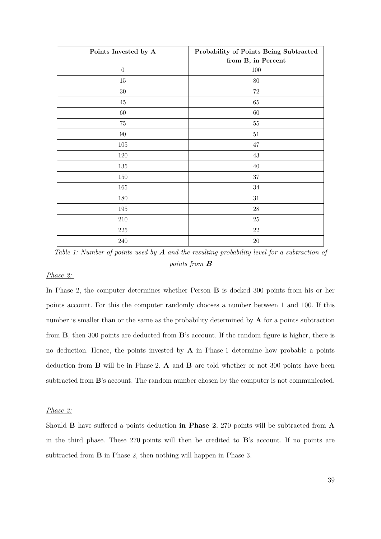| Points Invested by A | Probability of Points Being Subtracted |
|----------------------|----------------------------------------|
|                      | from B, in Percent                     |
| $\boldsymbol{0}$     | $100\,$                                |
| $15\,$               | $80\,$                                 |
| $30\,$               | $72\,$                                 |
| $45\,$               | $65\,$                                 |
| 60                   | $60\,$                                 |
| $75\,$               | $55\,$                                 |
| $90\,$               | $51\,$                                 |
| $105\,$              | $47\,$                                 |
| 120                  | $43\,$                                 |
| 135                  | $40\,$                                 |
| $150\,$              | $37\,$                                 |
| $165\,$              | $34\,$                                 |
| $180\,$              | $31\,$                                 |
| $195\,$              | $28\,$                                 |
| 210                  | $25\,$                                 |
| $225\,$              | $22\,$                                 |
| $240\,$              | $20\,$                                 |

*Table 1: Number of points used by* **A** *and the resulting probability level for a subtraction of points from* **<sup>B</sup>**

## *Phase 2:*

In Phase 2, the computer determines whether Person **B** is docked 300 points from his or her points account. For this the computer randomly chooses a number between 1 and 100. If this number is smaller than or the same as the probability determined by **A** for a points subtraction from **B**, then 300 points are deducted from **B**'s account. If the random figure is higher, there is no deduction. Hence, the points invested by **A** in Phase 1 determine how probable a points deduction from **B** will be in Phase 2. **A** and **B** are told whether or not 300 points have been subtracted from **B**'s account. The random number chosen by the computer is not communicated.

#### *Phase 3:*

Should **B** have suffered a points deduction **in Phase 2**, 270 points will be subtracted from **A**  in the third phase. These 270 points will then be credited to **B**'s account. If no points are subtracted from **B** in Phase 2, then nothing will happen in Phase 3.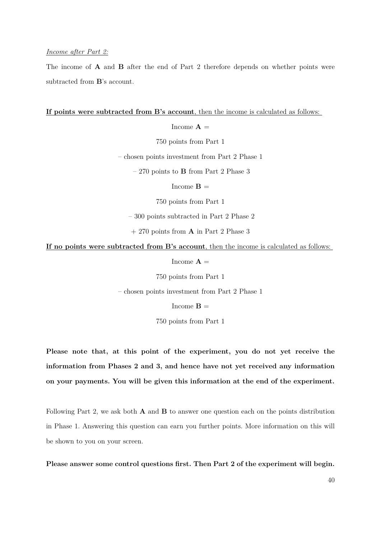#### *Income after Part 2:*

The income of **A** and **B** after the end of Part 2 therefore depends on whether points were subtracted from **B**'s account.

#### **If points were subtracted from B's account**, then the income is calculated as follows:

Income  $A =$ 

750 points from Part 1

– chosen points investment from Part 2 Phase 1

– 270 points to **B** from Part 2 Phase 3

Income  $\bf{B} =$ 

750 points from Part 1

– 300 points subtracted in Part 2 Phase 2

+ 270 points from **A** in Part 2 Phase 3

**If no points were subtracted from B's account**, then the income is calculated as follows:

Income  $\mathbf{A} =$ 

750 points from Part 1

– chosen points investment from Part 2 Phase 1

Income  $\mathbf{B} =$ 

750 points from Part 1

**Please note that, at this point of the experiment, you do not yet receive the information from Phases 2 and 3, and hence have not yet received any information on your payments. You will be given this information at the end of the experiment.**

Following Part 2, we ask both **A** and **B** to answer one question each on the points distribution in Phase 1. Answering this question can earn you further points. More information on this will be shown to you on your screen.

**Please answer some control questions first. Then Part 2 of the experiment will begin.**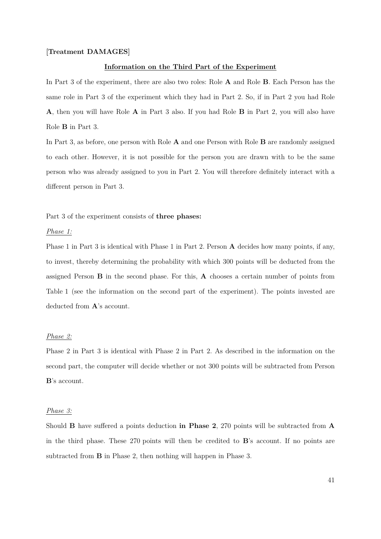#### **[Treatment DAMAGES]**

#### **Information on the Third Part of the Experiment**

In Part 3 of the experiment, there are also two roles: Role **A** and Role **B**. Each Person has the same role in Part 3 of the experiment which they had in Part 2. So, if in Part 2 you had Role **A**, then you will have Role **A** in Part 3 also. If you had Role **B** in Part 2, you will also have Role **B** in Part 3.

In Part 3, as before, one person with Role **A** and one Person with Role **B** are randomly assigned to each other. However, it is not possible for the person you are drawn with to be the same person who was already assigned to you in Part 2. You will therefore definitely interact with a different person in Part 3.

#### Part 3 of the experiment consists of **three phases:**

#### *Phase 1:*

Phase 1 in Part 3 is identical with Phase 1 in Part 2. Person **A** decides how many points, if any, to invest, thereby determining the probability with which 300 points will be deducted from the assigned Person **B** in the second phase. For this, **A** chooses a certain number of points from Table 1 (see the information on the second part of the experiment). The points invested are deducted from **A**'s account.

#### *Phase 2:*

Phase 2 in Part 3 is identical with Phase 2 in Part 2. As described in the information on the second part, the computer will decide whether or not 300 points will be subtracted from Person **B**'s account.

#### *Phase 3:*

Should **B** have suffered a points deduction **in Phase 2**, 270 points will be subtracted from **A**  in the third phase. These 270 points will then be credited to **B**'s account. If no points are subtracted from **B** in Phase 2, then nothing will happen in Phase 3.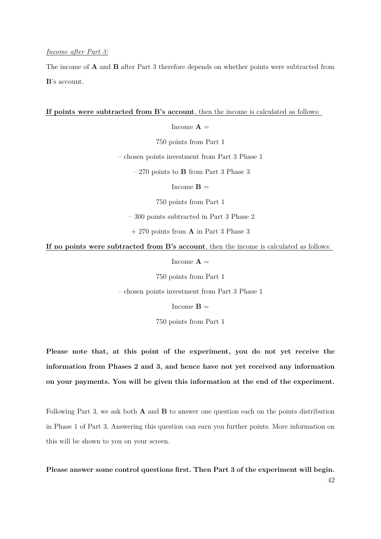#### *Income after Part 3:*

The income of **A** and **B** after Part 3 therefore depends on whether points were subtracted from **B**'s account.

### **If points were subtracted from B's account**, then the income is calculated as follows:

Income  $\mathbf{A} =$ 

750 points from Part 1

– chosen points investment from Part 3 Phase 1

– 270 points to **B** from Part 3 Phase 3

Income  $\mathbf{B} =$ 

750 points from Part 1

– 300 points subtracted in Part 3 Phase 2

+ 270 points from **A** in Part 3 Phase 3

**If no points were subtracted from B's account**, then the income is calculated as follows:

Income  $\mathbf{A} =$ 

750 points from Part 1

– chosen points investment from Part 3 Phase 1

Income  $\mathbf{B} =$ 

750 points from Part 1

**Please note that, at this point of the experiment, you do not yet receive the information from Phases 2 and 3, and hence have not yet received any information on your payments. You will be given this information at the end of the experiment.**

Following Part 3, we ask both **A** and **B** to answer one question each on the points distribution in Phase 1 of Part 3. Answering this question can earn you further points. More information on this will be shown to you on your screen.

42 **Please answer some control questions first. Then Part 3 of the experiment will begin.**